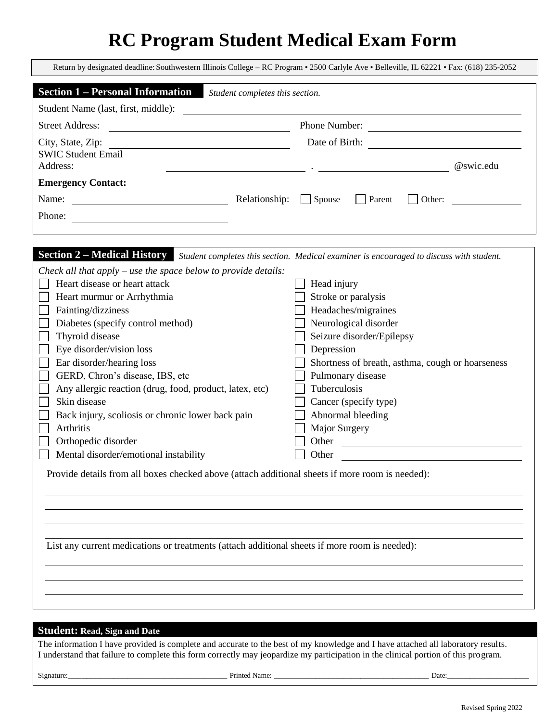## **RC Program Student Medical Exam Form**

| Return by designated deadline: Southwestern Illinois College - RC Program • 2500 Carlyle Ave • Belleville, IL 62221 • Fax: (618) 235-2052                                                                                                                                                                                                                                                                                                                                                                                                                                                                                                                                                                                                                                                                                                       |                                                                                                                                                                                                                                                                                                                                                               |  |  |  |  |  |  |
|-------------------------------------------------------------------------------------------------------------------------------------------------------------------------------------------------------------------------------------------------------------------------------------------------------------------------------------------------------------------------------------------------------------------------------------------------------------------------------------------------------------------------------------------------------------------------------------------------------------------------------------------------------------------------------------------------------------------------------------------------------------------------------------------------------------------------------------------------|---------------------------------------------------------------------------------------------------------------------------------------------------------------------------------------------------------------------------------------------------------------------------------------------------------------------------------------------------------------|--|--|--|--|--|--|
| <b>Section 1 – Personal Information</b><br>Student completes this section.                                                                                                                                                                                                                                                                                                                                                                                                                                                                                                                                                                                                                                                                                                                                                                      |                                                                                                                                                                                                                                                                                                                                                               |  |  |  |  |  |  |
| Student Name (last, first, middle):                                                                                                                                                                                                                                                                                                                                                                                                                                                                                                                                                                                                                                                                                                                                                                                                             |                                                                                                                                                                                                                                                                                                                                                               |  |  |  |  |  |  |
| Phone Number:<br><b>Street Address:</b>                                                                                                                                                                                                                                                                                                                                                                                                                                                                                                                                                                                                                                                                                                                                                                                                         |                                                                                                                                                                                                                                                                                                                                                               |  |  |  |  |  |  |
| City, State, Zip:<br><u> 1980 - Johann Barn, fransk politik (d. 1980)</u><br><b>SWIC Student Email</b><br>Address:                                                                                                                                                                                                                                                                                                                                                                                                                                                                                                                                                                                                                                                                                                                              | @swic.edu                                                                                                                                                                                                                                                                                                                                                     |  |  |  |  |  |  |
| <b>Emergency Contact:</b>                                                                                                                                                                                                                                                                                                                                                                                                                                                                                                                                                                                                                                                                                                                                                                                                                       |                                                                                                                                                                                                                                                                                                                                                               |  |  |  |  |  |  |
| Name: $\frac{1}{\sqrt{1-\frac{1}{2}} \cdot \frac{1}{2}}$                                                                                                                                                                                                                                                                                                                                                                                                                                                                                                                                                                                                                                                                                                                                                                                        | Relationship: Spouse<br>$\Box$ Parent<br>Other:                                                                                                                                                                                                                                                                                                               |  |  |  |  |  |  |
| Phone:                                                                                                                                                                                                                                                                                                                                                                                                                                                                                                                                                                                                                                                                                                                                                                                                                                          |                                                                                                                                                                                                                                                                                                                                                               |  |  |  |  |  |  |
| Section 2 - Medical History Student completes this section. Medical examiner is encouraged to discuss with student.<br>Check all that apply – use the space below to provide details:<br>Heart disease or heart attack<br>Heart murmur or Arrhythmia<br>Fainting/dizziness<br>Diabetes (specify control method)<br>Thyroid disease<br>Eye disorder/vision loss<br>Ear disorder/hearing loss<br>GERD, Chron's disease, IBS, etc<br>Any allergic reaction (drug, food, product, latex, etc)<br>Skin disease<br>Back injury, scoliosis or chronic lower back pain<br>Arthritis<br>Orthopedic disorder<br>Mental disorder/emotional instability<br>Provide details from all boxes checked above (attach additional sheets if more room is needed):<br>List any current medications or treatments (attach additional sheets if more room is needed): | Head injury<br>Stroke or paralysis<br>Headaches/migraines<br>Neurological disorder<br>Seizure disorder/Epilepsy<br>Depression<br>Shortness of breath, asthma, cough or hoarseness<br>Pulmonary disease<br>Tuberculosis<br>Cancer (specify type)<br>Abnormal bleeding<br>Major Surgery<br>Other<br><u> 1980 - John Stein, Amerikaansk politiker (</u><br>Other |  |  |  |  |  |  |
|                                                                                                                                                                                                                                                                                                                                                                                                                                                                                                                                                                                                                                                                                                                                                                                                                                                 |                                                                                                                                                                                                                                                                                                                                                               |  |  |  |  |  |  |
|                                                                                                                                                                                                                                                                                                                                                                                                                                                                                                                                                                                                                                                                                                                                                                                                                                                 |                                                                                                                                                                                                                                                                                                                                                               |  |  |  |  |  |  |
|                                                                                                                                                                                                                                                                                                                                                                                                                                                                                                                                                                                                                                                                                                                                                                                                                                                 |                                                                                                                                                                                                                                                                                                                                                               |  |  |  |  |  |  |
|                                                                                                                                                                                                                                                                                                                                                                                                                                                                                                                                                                                                                                                                                                                                                                                                                                                 |                                                                                                                                                                                                                                                                                                                                                               |  |  |  |  |  |  |
| <b>Student: Read, Sign and Date</b>                                                                                                                                                                                                                                                                                                                                                                                                                                                                                                                                                                                                                                                                                                                                                                                                             |                                                                                                                                                                                                                                                                                                                                                               |  |  |  |  |  |  |

The information I have provided is complete and accurate to the best of my knowledge and I have attached all laboratory results. I understand that failure to complete this form correctly may jeopardize my participation in the clinical portion of this program.